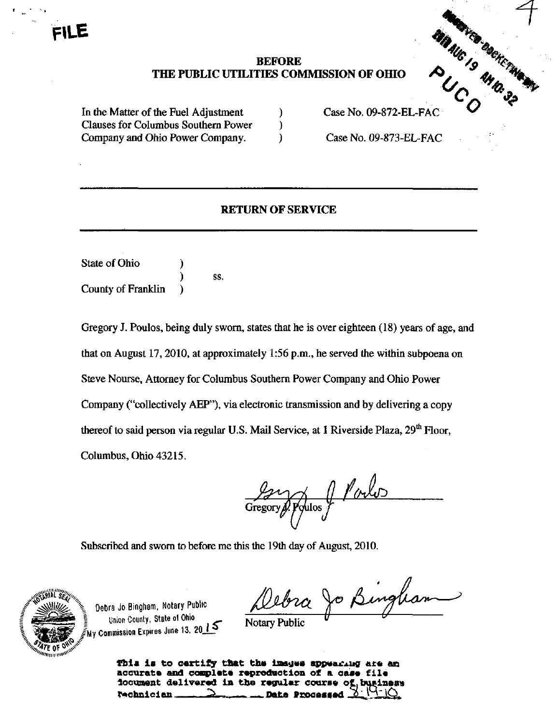# BEFORE TIES COMMISSION OF OHIO AND SUCH THE COMMISSION OF OHIO THE PUBLIC UTILITIES COMMISSION OF OHIO

In the Matter of the Fuel Adjustment (a) Case No. 09-872-EL-FAC Clauses for Columbus Southern Power ) Company and Ohio Power Company. (Case No. 09-873-EL-FAC

## RETURN OF SERVICE

State of Ohio ) ) SS. County of Franklin )

Gregory J. Poulos, being duly swom, states that he is over eighteen (18) years of age, and that on August 17,2010, at approximately 1:56 p.m., he served the within subpoena on Steve Nourse, Attorney for Columbus Southern Power Company and Ohio Power Company ("collectively AEP"), via electronic transmission and by delivering a copy thereof to said person via regular U.S. Mail Service, at 1 Riverside Plaza, 29<sup>th</sup> Floor, Columbus, Ohio 43215.

Poulo Poulos

Subscribed and swom to before me this the 19th day of August, 2010.



Debra Jo Bingham, Notary Public Union County. State of Ohio  $\overline{N_{\text{O}}^{\text{C}}$  $\mathbb{F}$   $\mathbb{F}_{\text{Mv} \text{ Commission}}$  Expires June 13. 20 $I$   $\rightarrow$   $\blacksquare$ 

Jo Bingham

This is to certify that the images appearing are an accurate and complete reproduction of a case file<br>focument delivered in the regular course of business<br>rechnician <u>and subsequently</u> locument delivered in the regular course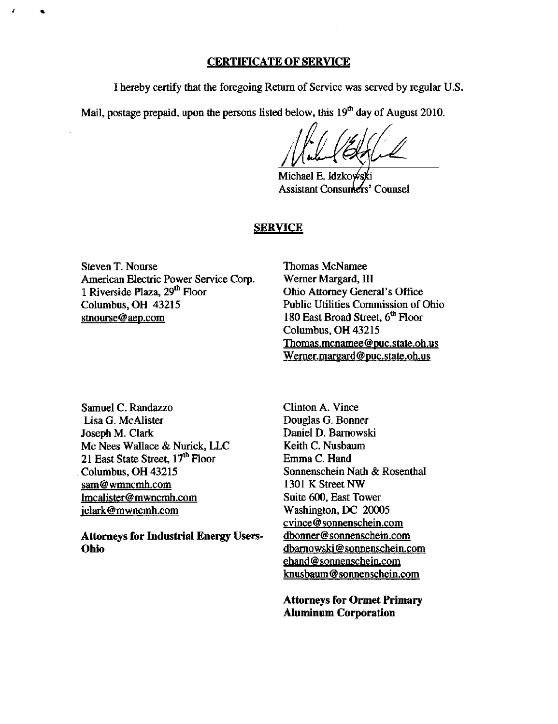### CERTIFICATE OF SERVICE

I hereby certify that the foregoing Retum of Service was served by regular U.S.

Mail, postage prepaid, upon the persons listed below, this  $19<sup>th</sup>$  day of August 2010.

Michael E. Idzko Assistant Consumers' Counsel

### **SERVICE**

Steven T. Nourse American Electric Power Service Corp. 1 Riverside Plaza, 29<sup>th</sup> Floor Columbus, OH 43215 stnourse@aep.com

Thomas McNamee Werner Margard, III Ohio Attorney General's Office Public Utilities Commission of Ohio 180 East Broad Street, 6<sup>th</sup> Floor Columbus, OH 43215 [Thomas.mcnamee@puc.state.oh.us](mailto:Thomas.mcnamee@puc.state.oh.us)  [Wemer.margard@puc.state.oh.us](mailto:Wemer.margard@puc.state.oh.us) 

Samuel C. Randazzo Lisa G. McAlister Joseph M. Clark Mc Nees Wallace & Nurick, LLC 21 East State Street, 17<sup>th</sup> Floor Columbus, OH 43215 [sam@wmncmh.com](mailto:sam@wmncmh.com)  lmcalister@mwncmh.com [iclark@mwncmh.com](mailto:iclark@mwncmh.com)

Attorneys for Industrial Energy Users-Ohio

Clinton A. Vince Douglas G. Bonner Daniel D. Bamowski Keith C. Nusbaum Emma C. Hand Sonnenschein Nath & Rosenthal 1301 K Street NW Suite 600, East Tower Washington, DC 20005 [cvince@sonnenschein.com](mailto:cvince@sonnenschein.com)  [dbonner@sonnenschein.com](mailto:dbonner@sonnenschein.com)  dbamowski @ [sonnenschein.com](http://sonnenschein.com) ehand @ [sonnenschein.com](http://sonnenschein.com) [knusbaum@sonnenschein.com](mailto:knusbaum@sonnenschein.com) 

Attorneys for Ormet Primary Aluminum Corporation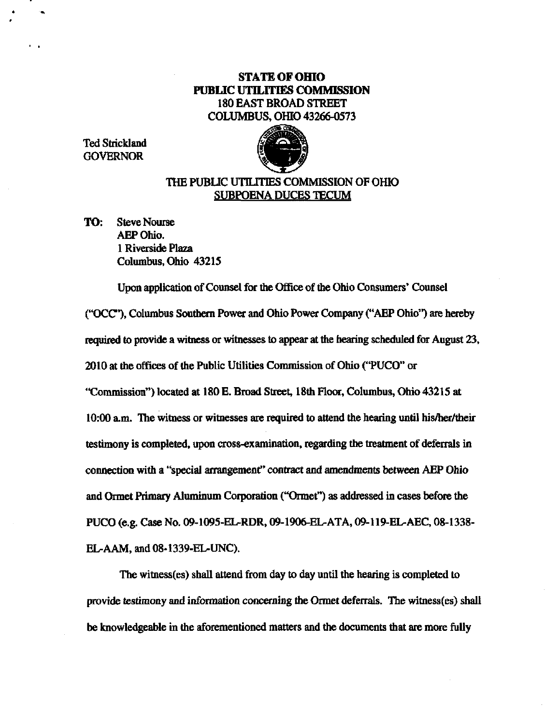# STATE OF OHIO PUBLIC UTILITIES COMMISSION 180 EAST BROAD STREET COLUMBUS, OHIO 43266-0573

Ted Strickland GOVERNOR



# THE PUBLIC UTILITIES COMMISSION OF OHIO SUBPOENA DUCES TECUM

TO: Steve Nourse AEP Ohio. 1 Riverside Plaza Columbus. Ohio 43215

Upon application of Counsel for the Office of the Ohio Consumers' Counsel ("OCC"). Columbus Southern Power and Ohio Power Company ("AEP Ohio") are hereby required to provide a witness or witnesses to appear at the hearing scheduled for August 23, 2010 at the offices of the Public Utilities Commission of Ohio ("PUCO" or "Commission") located at 180 E. Broad Street, 18th Floor, Columbus, Ohio 43215 at  $10:00$  a.m. The witness or witnesses are required to attend the hearing until his/her/their testimony is completed, upon cross-examination, regarding the treatment of deferrals in connection with a "special arrangement" contract and amendments between AEP Ohio and Ormet Primary Aluminimi Corporation ("Ormet") as addressed in cases before the PUCO (e.g. Case No. 09-1095-EL-RDR. 09-1906-EL.ATA, 09-119-EL.AEC, 08-1338- EL-AAM, and 08-1339-EL-UNC).

The witness(es) shall attend from day to day until the hearing is completed to provide testimony and infonnation conceming the Ormet deferrals. The witness(es) shall be knowledgeable in the aforementioned matters and the documents that are more fully